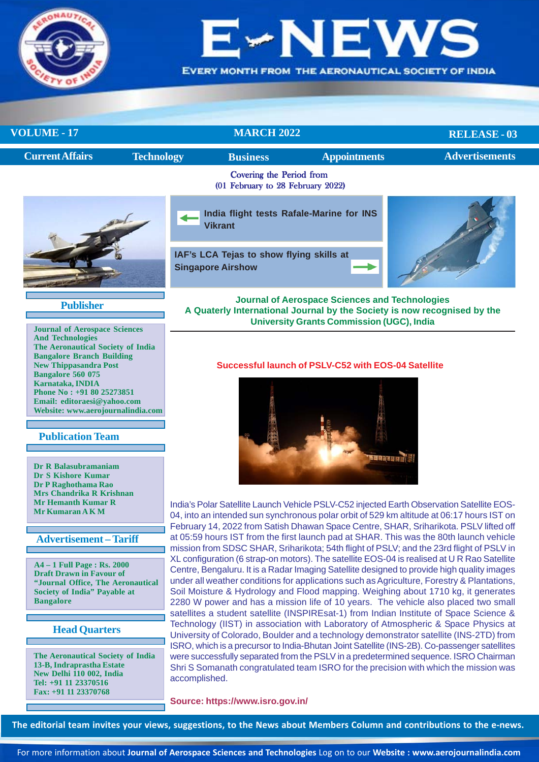

**EVERY MONTH FROM THE AERONAUTICAL SOCIETY OF INDIA** 

| <b>VOLUME - 17</b>                                            | <b>MARCH 2022</b> |                                                                      |                     | <b>RELEASE - 03</b>   |
|---------------------------------------------------------------|-------------------|----------------------------------------------------------------------|---------------------|-----------------------|
| <b>Current Affairs</b>                                        | <b>Technology</b> | <b>Business</b>                                                      | <b>Appointments</b> | <b>Advertisements</b> |
| Covering the Period from<br>(01 February to 28 February 2022) |                   |                                                                      |                     |                       |
|                                                               |                   | India flight tests Rafale-Marine for INS<br><b>Vikrant</b>           |                     |                       |
|                                                               |                   | IAF's LCA Tejas to show flying skills at<br><b>Singapore Airshow</b> |                     |                       |

# **Publisher**

**Journal of Aerospace Sciences And Technologies The Aeronautical Society of India Bangalore Branch Building New Thippasandra Post Bangalore 560 075 Karnataka, INDIA Phone No : +91 80 25273851 Email: editoraesi@yahoo.com Website: www.aerojournalindia.com**

# **Publication Team**

**Dr R Balasubramaniam Dr S Kishore Kumar Dr P Raghothama Rao Mrs Chandrika R Krishnan Mr Hemanth Kumar R Mr Kumaran A K M**

# **Advertisement – Tariff**

**A4 – 1 Full Page : Rs. 2000 Draft Drawn in Favour of "Journal Office, The Aeronautical Society of India" Payable at Bangalore**

# **Head Quarters**

**The Aeronautical Society of India 13-B, Indraprastha Estate New Delhi 110 002, India Tel: +91 11 23370516 Fax: +91 11 23370768**

**Journal of Aerospace Sciences and Technologies A Quaterly International Journal by the Society is now recognised by the University Grants Commission (UGC), India**

## **Successful launch of PSLV-C52 with EOS-04 Satellite**



India's Polar Satellite Launch Vehicle PSLV-C52 injected Earth Observation Satellite EOS-04, into an intended sun synchronous polar orbit of 529 km altitude at 06:17 hours IST on February 14, 2022 from Satish Dhawan Space Centre, SHAR, Sriharikota. PSLV lifted off at 05:59 hours IST from the first launch pad at SHAR. This was the 80th launch vehicle mission from SDSC SHAR, Sriharikota; 54th flight of PSLV; and the 23rd flight of PSLV in XL configuration (6 strap-on motors). The satellite EOS-04 is realised at U R Rao Satellite Centre, Bengaluru. It is a Radar Imaging Satellite designed to provide high quality images under all weather conditions for applications such as Agriculture, Forestry & Plantations, Soil Moisture & Hydrology and Flood mapping. Weighing about 1710 kg, it generates 2280 W power and has a mission life of 10 years. The vehicle also placed two small satellites a student satellite (INSPIREsat-1) from Indian Institute of Space Science & Technology (IIST) in association with Laboratory of Atmospheric & Space Physics at University of Colorado, Boulder and a technology demonstrator satellite (INS-2TD) from ISRO, which is a precursor to India-Bhutan Joint Satellite (INS-2B). Co-passenger satellites were successfully separated from the PSLV in a predetermined sequence. ISRO Chairman Shri S Somanath congratulated team ISRO for the precision with which the mission was accomplished.

**Source: https://www.isro.gov.in/**

**The editorial team invites your views, suggestions, to the News about Members Column and contributions to the e-news.**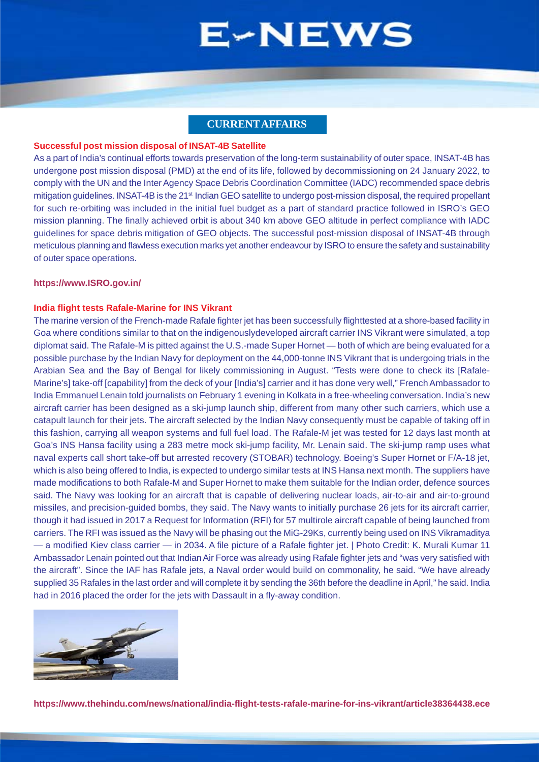# **CURRENT AFFAIRS**

### <span id="page-1-0"></span>**Successful post mission disposal of INSAT-4B Satellite**

As a part of India's continual efforts towards preservation of the long-term sustainability of outer space, INSAT-4B has undergone post mission disposal (PMD) at the end of its life, followed by decommissioning on 24 January 2022, to comply with the UN and the Inter Agency Space Debris Coordination Committee (IADC) recommended space debris mitigation guidelines. INSAT-4B is the 21<sup>st</sup> Indian GEO satellite to undergo post-mission disposal, the required propellant for such re-orbiting was included in the initial fuel budget as a part of standard practice followed in ISRO's GEO mission planning. The finally achieved orbit is about 340 km above GEO altitude in perfect compliance with IADC guidelines for space debris mitigation of GEO objects. The successful post-mission disposal of INSAT-4B through meticulous planning and flawless execution marks yet another endeavour by ISRO to ensure the safety and sustainability of outer space operations.

#### **https://www.ISRO.gov.in/**

### **India flight tests Rafale-Marine for INS Vikrant**

The marine version of the French-made Rafale fighter jet has been successfully flighttested at a shore-based facility in Goa where conditions similar to that on the indigenouslydeveloped aircraft carrier INS Vikrant were simulated, a top diplomat said. The Rafale-M is pitted against the U.S.-made Super Hornet — both of which are being evaluated for a possible purchase by the Indian Navy for deployment on the 44,000-tonne INS Vikrant that is undergoing trials in the Arabian Sea and the Bay of Bengal for likely commissioning in August. "Tests were done to check its [Rafale-Marine's] take-off [capability] from the deck of your [India's] carrier and it has done very well," French Ambassador to India Emmanuel Lenain told journalists on February 1 evening in Kolkata in a free-wheeling conversation. India's new aircraft carrier has been designed as a ski-jump launch ship, different from many other such carriers, which use a catapult launch for their jets. The aircraft selected by the Indian Navy consequently must be capable of taking off in this fashion, carrying all weapon systems and full fuel load. The Rafale-M jet was tested for 12 days last month at Goa's INS Hansa facility using a 283 metre mock ski-jump facility, Mr. Lenain said. The ski-jump ramp uses what naval experts call short take-off but arrested recovery (STOBAR) technology. Boeing's Super Hornet or F/A-18 jet, which is also being offered to India, is expected to undergo similar tests at INS Hansa next month. The suppliers have made modifications to both Rafale-M and Super Hornet to make them suitable for the Indian order, defence sources said. The Navy was looking for an aircraft that is capable of delivering nuclear loads, air-to-air and air-to-ground missiles, and precision-guided bombs, they said. The Navy wants to initially purchase 26 jets for its aircraft carrier, though it had issued in 2017 a Request for Information (RFI) for 57 multirole aircraft capable of being launched from carriers. The RFI was issued as the Navy will be phasing out the MiG-29Ks, currently being used on INS Vikramaditya — a modified Kiev class carrier — in 2034. A file picture of a Rafale fighter jet. | Photo Credit: K. Murali Kumar 11 Ambassador Lenain pointed out that Indian Air Force was already using Rafale fighter jets and "was very satisfied with the aircraft". Since the IAF has Rafale jets, a Naval order would build on commonality, he said. "We have already supplied 35 Rafales in the last order and will complete it by sending the 36th before the deadline in April," he said. India had in 2016 placed the order for the jets with Dassault in a fly-away condition.



**https://www.thehindu.com/news/national/india-flight-tests-rafale-marine-for-ins-vikrant/article38364438.ece**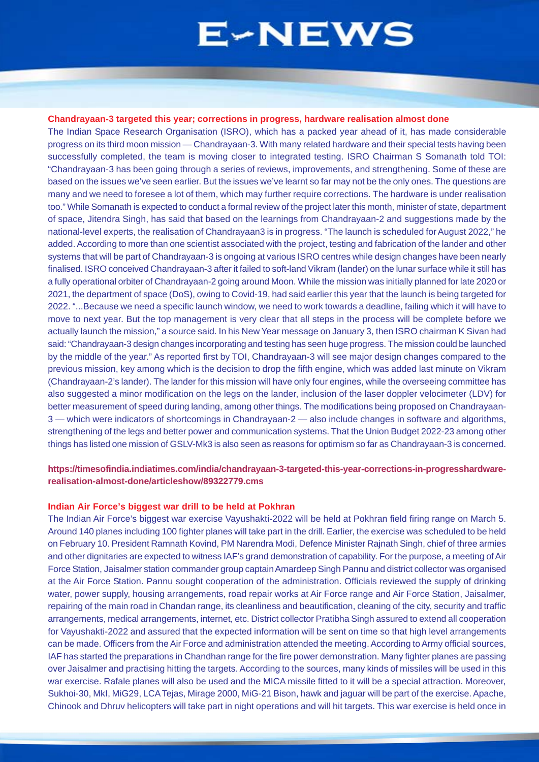#### **Chandrayaan-3 targeted this year; corrections in progress, hardware realisation almost done**

The Indian Space Research Organisation (ISRO), which has a packed year ahead of it, has made considerable progress on its third moon mission — Chandrayaan-3. With many related hardware and their special tests having been successfully completed, the team is moving closer to integrated testing. ISRO Chairman S Somanath told TOI: "Chandrayaan-3 has been going through a series of reviews, improvements, and strengthening. Some of these are based on the issues we've seen earlier. But the issues we've learnt so far may not be the only ones. The questions are many and we need to foresee a lot of them, which may further require corrections. The hardware is under realisation too." While Somanath is expected to conduct a formal review of the project later this month, minister of state, department of space, Jitendra Singh, has said that based on the learnings from Chandrayaan-2 and suggestions made by the national-level experts, the realisation of Chandrayaan3 is in progress. "The launch is scheduled for August 2022," he added. According to more than one scientist associated with the project, testing and fabrication of the lander and other systems that will be part of Chandrayaan-3 is ongoing at various ISRO centres while design changes have been nearly finalised. ISRO conceived Chandrayaan-3 after it failed to soft-land Vikram (lander) on the lunar surface while it still has a fully operational orbiter of Chandrayaan-2 going around Moon. While the mission was initially planned for late 2020 or 2021, the department of space (DoS), owing to Covid-19, had said earlier this year that the launch is being targeted for 2022. "...Because we need a specific launch window, we need to work towards a deadline, failing which it will have to move to next year. But the top management is very clear that all steps in the process will be complete before we actually launch the mission," a source said. In his New Year message on January 3, then ISRO chairman K Sivan had said: "Chandrayaan-3 design changes incorporating and testing has seen huge progress. The mission could be launched by the middle of the year." As reported first by TOI, Chandrayaan-3 will see major design changes compared to the previous mission, key among which is the decision to drop the fifth engine, which was added last minute on Vikram (Chandrayaan-2's lander). The lander for this mission will have only four engines, while the overseeing committee has also suggested a minor modification on the legs on the lander, inclusion of the laser doppler velocimeter (LDV) for better measurement of speed during landing, among other things. The modifications being proposed on Chandrayaan-3 — which were indicators of shortcomings in Chandrayaan-2 — also include changes in software and algorithms, strengthening of the legs and better power and communication systems. That the Union Budget 2022-23 among other things has listed one mission of GSLV-Mk3 is also seen as reasons for optimism so far as Chandrayaan-3 is concerned.

# **https://timesofindia.indiatimes.com/india/chandrayaan-3-targeted-this-year-corrections-in-progresshardwarerealisation-almost-done/articleshow/89322779.cms**

### **Indian Air Force's biggest war drill to be held at Pokhran**

The Indian Air Force's biggest war exercise Vayushakti-2022 will be held at Pokhran field firing range on March 5. Around 140 planes including 100 fighter planes will take part in the drill. Earlier, the exercise was scheduled to be held on February 10. President Ramnath Kovind, PM Narendra Modi, Defence Minister Rajnath Singh, chief of three armies and other dignitaries are expected to witness IAF's grand demonstration of capability. For the purpose, a meeting of Air Force Station, Jaisalmer station commander group captain Amardeep Singh Pannu and district collector was organised at the Air Force Station. Pannu sought cooperation of the administration. Officials reviewed the supply of drinking water, power supply, housing arrangements, road repair works at Air Force range and Air Force Station, Jaisalmer, repairing of the main road in Chandan range, its cleanliness and beautification, cleaning of the city, security and traffic arrangements, medical arrangements, internet, etc. District collector Pratibha Singh assured to extend all cooperation for Vayushakti-2022 and assured that the expected information will be sent on time so that high level arrangements can be made. Officers from the Air Force and administration attended the meeting. According to Army official sources, IAF has started the preparations in Chandhan range for the fire power demonstration. Many fighter planes are passing over Jaisalmer and practising hitting the targets. According to the sources, many kinds of missiles will be used in this war exercise. Rafale planes will also be used and the MICA missile fitted to it will be a special attraction. Moreover, Sukhoi-30, MkI, MiG29, LCA Tejas, Mirage 2000, MiG-21 Bison, hawk and jaguar will be part of the exercise. Apache, Chinook and Dhruv helicopters will take part in night operations and will hit targets. This war exercise is held once in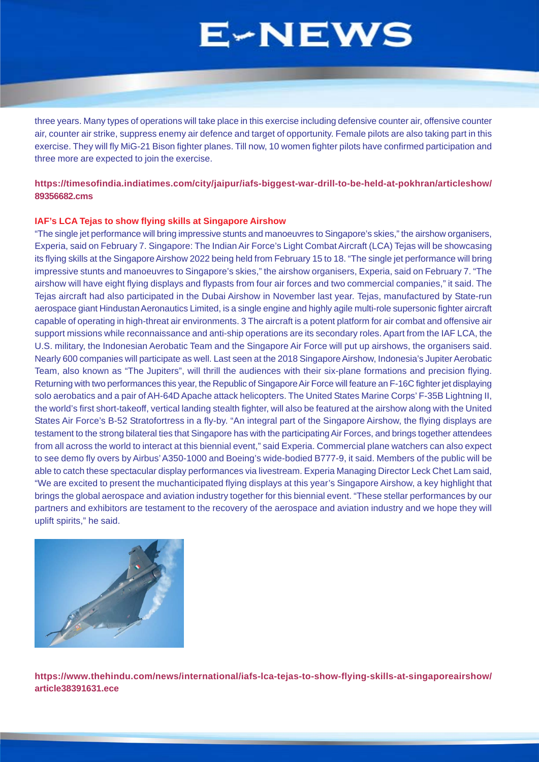<span id="page-3-0"></span>three years. Many types of operations will take place in this exercise including defensive counter air, offensive counter air, counter air strike, suppress enemy air defence and target of opportunity. Female pilots are also taking part in this exercise. They will fly MiG-21 Bison fighter planes. Till now, 10 women fighter pilots have confirmed participation and three more are expected to join the exercise.

# **https://timesofindia.indiatimes.com/city/jaipur/iafs-biggest-war-drill-to-be-held-at-pokhran/articleshow/ 89356682.cms**

## **IAF's LCA Tejas to show flying skills at Singapore Airshow**

"The single jet performance will bring impressive stunts and manoeuvres to Singapore's skies," the airshow organisers, Experia, said on February 7. Singapore: The Indian Air Force's Light Combat Aircraft (LCA) Tejas will be showcasing its flying skills at the Singapore Airshow 2022 being held from February 15 to 18. "The single jet performance will bring impressive stunts and manoeuvres to Singapore's skies," the airshow organisers, Experia, said on February 7. "The airshow will have eight flying displays and flypasts from four air forces and two commercial companies," it said. The Tejas aircraft had also participated in the Dubai Airshow in November last year. Tejas, manufactured by State-run aerospace giant Hindustan Aeronautics Limited, is a single engine and highly agile multi-role supersonic fighter aircraft capable of operating in high-threat air environments. 3 The aircraft is a potent platform for air combat and offensive air support missions while reconnaissance and anti-ship operations are its secondary roles. Apart from the IAF LCA, the U.S. military, the Indonesian Aerobatic Team and the Singapore Air Force will put up airshows, the organisers said. Nearly 600 companies will participate as well. Last seen at the 2018 Singapore Airshow, Indonesia's Jupiter Aerobatic Team, also known as "The Jupiters", will thrill the audiences with their six-plane formations and precision flying. Returning with two performances this year, the Republic of Singapore Air Force will feature an F-16C fighter jet displaying solo aerobatics and a pair of AH-64D Apache attack helicopters. The United States Marine Corps' F-35B Lightning II, the world's first short-takeoff, vertical landing stealth fighter, will also be featured at the airshow along with the United States Air Force's B-52 Stratofortress in a fly-by. "An integral part of the Singapore Airshow, the flying displays are testament to the strong bilateral ties that Singapore has with the participating Air Forces, and brings together attendees from all across the world to interact at this biennial event," said Experia. Commercial plane watchers can also expect to see demo fly overs by Airbus' A350-1000 and Boeing's wide-bodied B777-9, it said. Members of the public will be able to catch these spectacular display performances via livestream. Experia Managing Director Leck Chet Lam said, "We are excited to present the muchanticipated flying displays at this year's Singapore Airshow, a key highlight that brings the global aerospace and aviation industry together for this biennial event. "These stellar performances by our partners and exhibitors are testament to the recovery of the aerospace and aviation industry and we hope they will uplift spirits," he said.



**https://www.thehindu.com/news/international/iafs-lca-tejas-to-show-flying-skills-at-singaporeairshow/ article38391631.ece**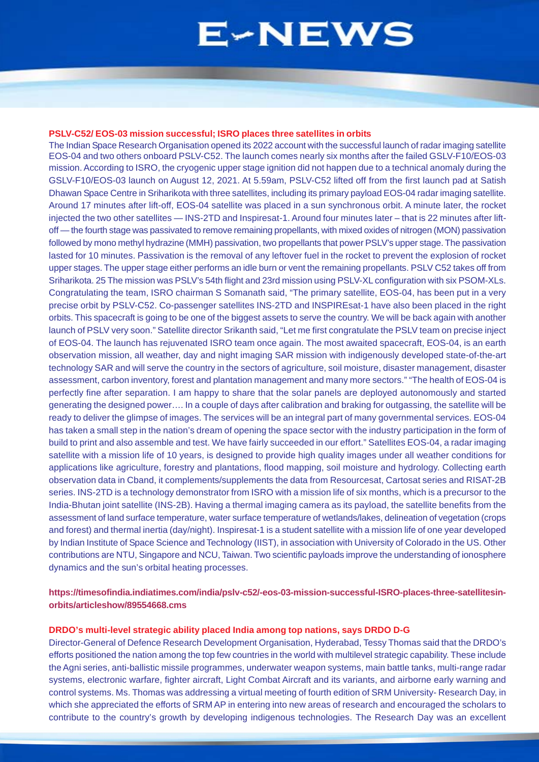## **PSLV-C52/ EOS-03 mission successful; ISRO places three satellites in orbits**

The Indian Space Research Organisation opened its 2022 account with the successful launch of radar imaging satellite EOS-04 and two others onboard PSLV-C52. The launch comes nearly six months after the failed GSLV-F10/EOS-03 mission. According to ISRO, the cryogenic upper stage ignition did not happen due to a technical anomaly during the GSLV-F10/EOS-03 launch on August 12, 2021. At 5.59am, PSLV-C52 lifted off from the first launch pad at Satish Dhawan Space Centre in Sriharikota with three satellites, including its primary payload EOS-04 radar imaging satellite. Around 17 minutes after lift-off, EOS-04 satellite was placed in a sun synchronous orbit. A minute later, the rocket injected the two other satellites — INS-2TD and Inspiresat-1. Around four minutes later – that is 22 minutes after liftoff — the fourth stage was passivated to remove remaining propellants, with mixed oxides of nitrogen (MON) passivation followed by mono methyl hydrazine (MMH) passivation, two propellants that power PSLV's upper stage. The passivation lasted for 10 minutes. Passivation is the removal of any leftover fuel in the rocket to prevent the explosion of rocket upper stages. The upper stage either performs an idle burn or vent the remaining propellants. PSLV C52 takes off from Sriharikota. 25 The mission was PSLV's 54th flight and 23rd mission using PSLV-XL configuration with six PSOM-XLs. Congratulating the team, ISRO chairman S Somanath said, "The primary satellite, EOS-04, has been put in a very precise orbit by PSLV-C52. Co-passenger satellites INS-2TD and INSPIREsat-1 have also been placed in the right orbits. This spacecraft is going to be one of the biggest assets to serve the country. We will be back again with another launch of PSLV very soon." Satellite director Srikanth said, "Let me first congratulate the PSLV team on precise inject of EOS-04. The launch has rejuvenated ISRO team once again. The most awaited spacecraft, EOS-04, is an earth observation mission, all weather, day and night imaging SAR mission with indigenously developed state-of-the-art technology SAR and will serve the country in the sectors of agriculture, soil moisture, disaster management, disaster assessment, carbon inventory, forest and plantation management and many more sectors." "The health of EOS-04 is perfectly fine after separation. I am happy to share that the solar panels are deployed autonomously and started generating the designed power…. In a couple of days after calibration and braking for outgassing, the satellite will be ready to deliver the glimpse of images. The services will be an integral part of many governmental services. EOS-04 has taken a small step in the nation's dream of opening the space sector with the industry participation in the form of build to print and also assemble and test. We have fairly succeeded in our effort." Satellites EOS-04, a radar imaging satellite with a mission life of 10 years, is designed to provide high quality images under all weather conditions for applications like agriculture, forestry and plantations, flood mapping, soil moisture and hydrology. Collecting earth observation data in Cband, it complements/supplements the data from Resourcesat, Cartosat series and RISAT-2B series. INS-2TD is a technology demonstrator from ISRO with a mission life of six months, which is a precursor to the India-Bhutan joint satellite (INS-2B). Having a thermal imaging camera as its payload, the satellite benefits from the assessment of land surface temperature, water surface temperature of wetlands/lakes, delineation of vegetation (crops and forest) and thermal inertia (day/night). Inspiresat-1 is a student satellite with a mission life of one year developed by Indian Institute of Space Science and Technology (IIST), in association with University of Colorado in the US. Other contributions are NTU, Singapore and NCU, Taiwan. Two scientific payloads improve the understanding of ionosphere dynamics and the sun's orbital heating processes.

# **https://timesofindia.indiatimes.com/india/pslv-c52/-eos-03-mission-successful-ISRO-places-three-satellitesinorbits/articleshow/89554668.cms**

# **DRDO's multi-level strategic ability placed India among top nations, says DRDO D-G**

Director-General of Defence Research Development Organisation, Hyderabad, Tessy Thomas said that the DRDO's efforts positioned the nation among the top few countries in the world with multilevel strategic capability. These include the Agni series, anti-ballistic missile programmes, underwater weapon systems, main battle tanks, multi-range radar systems, electronic warfare, fighter aircraft, Light Combat Aircraft and its variants, and airborne early warning and control systems. Ms. Thomas was addressing a virtual meeting of fourth edition of SRM University- Research Day, in which she appreciated the efforts of SRM AP in entering into new areas of research and encouraged the scholars to contribute to the country's growth by developing indigenous technologies. The Research Day was an excellent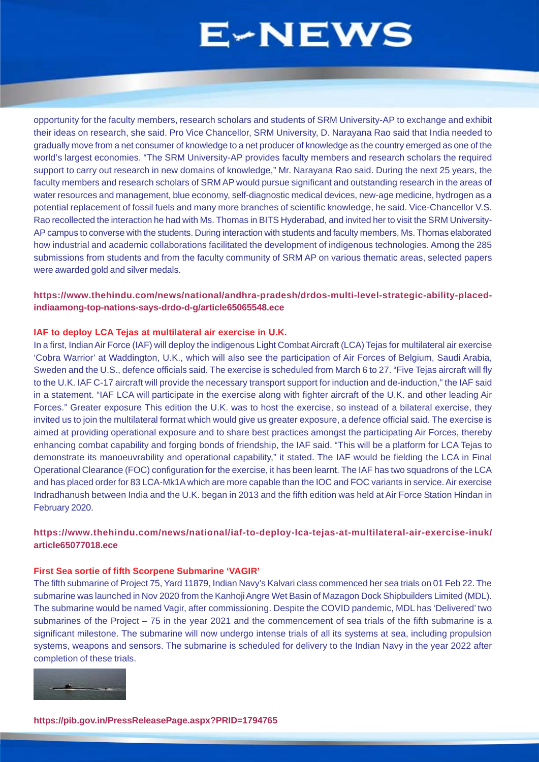opportunity for the faculty members, research scholars and students of SRM University-AP to exchange and exhibit their ideas on research, she said. Pro Vice Chancellor, SRM University, D. Narayana Rao said that India needed to gradually move from a net consumer of knowledge to a net producer of knowledge as the country emerged as one of the world's largest economies. "The SRM University-AP provides faculty members and research scholars the required support to carry out research in new domains of knowledge," Mr. Narayana Rao said. During the next 25 years, the faculty members and research scholars of SRM AP would pursue significant and outstanding research in the areas of water resources and management, blue economy, self-diagnostic medical devices, new-age medicine, hydrogen as a potential replacement of fossil fuels and many more branches of scientific knowledge, he said. Vice-Chancellor V.S. Rao recollected the interaction he had with Ms. Thomas in BITS Hyderabad, and invited her to visit the SRM University-AP campus to converse with the students. During interaction with students and faculty members, Ms. Thomas elaborated how industrial and academic collaborations facilitated the development of indigenous technologies. Among the 285 submissions from students and from the faculty community of SRM AP on various thematic areas, selected papers were awarded gold and silver medals.

# **https://www.thehindu.com/news/national/andhra-pradesh/drdos-multi-level-strategic-ability-placedindiaamong-top-nations-says-drdo-d-g/article65065548.ece**

### **IAF to deploy LCA Tejas at multilateral air exercise in U.K.**

In a first, Indian Air Force (IAF) will deploy the indigenous Light Combat Aircraft (LCA) Tejas for multilateral air exercise 'Cobra Warrior' at Waddington, U.K., which will also see the participation of Air Forces of Belgium, Saudi Arabia, Sweden and the U.S., defence officials said. The exercise is scheduled from March 6 to 27. "Five Tejas aircraft will fly to the U.K. IAF C-17 aircraft will provide the necessary transport support for induction and de-induction," the IAF said in a statement. "IAF LCA will participate in the exercise along with fighter aircraft of the U.K. and other leading Air Forces." Greater exposure This edition the U.K. was to host the exercise, so instead of a bilateral exercise, they invited us to join the multilateral format which would give us greater exposure, a defence official said. The exercise is aimed at providing operational exposure and to share best practices amongst the participating Air Forces, thereby enhancing combat capability and forging bonds of friendship, the IAF said. "This will be a platform for LCA Tejas to demonstrate its manoeuvrability and operational capability," it stated. The IAF would be fielding the LCA in Final Operational Clearance (FOC) configuration for the exercise, it has been learnt. The IAF has two squadrons of the LCA and has placed order for 83 LCA-Mk1A which are more capable than the IOC and FOC variants in service. Air exercise Indradhanush between India and the U.K. began in 2013 and the fifth edition was held at Air Force Station Hindan in February 2020.

# **https://www.thehindu.com/news/national/iaf-to-deploy-lca-tejas-at-multilateral-air-exercise-inuk/ article65077018.ece**

### **First Sea sortie of fifth Scorpene Submarine 'VAGIR'**

The fifth submarine of Project 75, Yard 11879, Indian Navy's Kalvari class commenced her sea trials on 01 Feb 22. The submarine was launched in Nov 2020 from the Kanhoji Angre Wet Basin of Mazagon Dock Shipbuilders Limited (MDL). The submarine would be named Vagir, after commissioning. Despite the COVID pandemic, MDL has 'Delivered' two submarines of the Project – 75 in the year 2021 and the commencement of sea trials of the fifth submarine is a significant milestone. The submarine will now undergo intense trials of all its systems at sea, including propulsion systems, weapons and sensors. The submarine is scheduled for delivery to the Indian Navy in the year 2022 after completion of these trials.

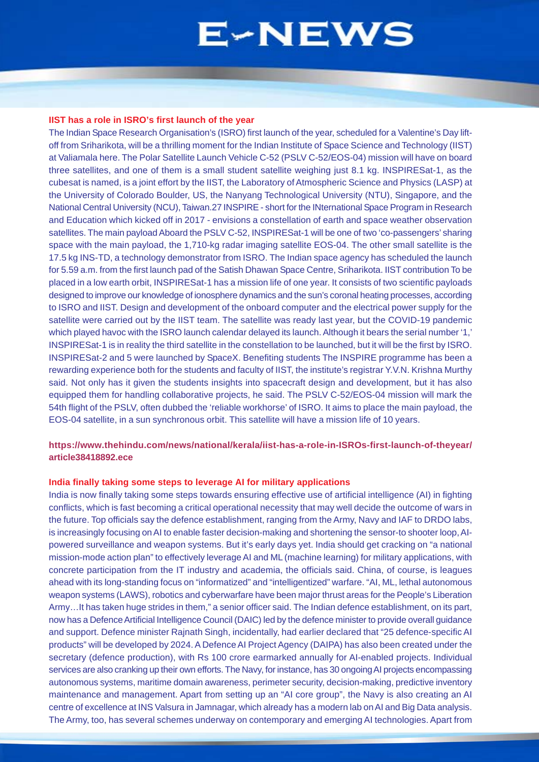#### **IIST has a role in ISRO's first launch of the year**

The Indian Space Research Organisation's (ISRO) first launch of the year, scheduled for a Valentine's Day liftoff from Sriharikota, will be a thrilling moment for the Indian Institute of Space Science and Technology (IIST) at Valiamala here. The Polar Satellite Launch Vehicle C-52 (PSLV C-52/EOS-04) mission will have on board three satellites, and one of them is a small student satellite weighing just 8.1 kg. INSPIRESat-1, as the cubesat is named, is a joint effort by the IIST, the Laboratory of Atmospheric Science and Physics (LASP) at the University of Colorado Boulder, US, the Nanyang Technological University (NTU), Singapore, and the National Central University (NCU), Taiwan.27 INSPIRE - short for the INternational Space Program in Research and Education which kicked off in 2017 - envisions a constellation of earth and space weather observation satellites. The main payload Aboard the PSLV C-52, INSPIRESat-1 will be one of two 'co-passengers' sharing space with the main payload, the 1,710-kg radar imaging satellite EOS-04. The other small satellite is the 17.5 kg INS-TD, a technology demonstrator from ISRO. The Indian space agency has scheduled the launch for 5.59 a.m. from the first launch pad of the Satish Dhawan Space Centre, Sriharikota. IIST contribution To be placed in a low earth orbit, INSPIRESat-1 has a mission life of one year. It consists of two scientific payloads designed to improve our knowledge of ionosphere dynamics and the sun's coronal heating processes, according to ISRO and IIST. Design and development of the onboard computer and the electrical power supply for the satellite were carried out by the IIST team. The satellite was ready last year, but the COVID-19 pandemic which played havoc with the ISRO launch calendar delayed its launch. Although it bears the serial number '1,' INSPIRESat-1 is in reality the third satellite in the constellation to be launched, but it will be the first by ISRO. INSPIRESat-2 and 5 were launched by SpaceX. Benefiting students The INSPIRE programme has been a rewarding experience both for the students and faculty of IIST, the institute's registrar Y.V.N. Krishna Murthy said. Not only has it given the students insights into spacecraft design and development, but it has also equipped them for handling collaborative projects, he said. The PSLV C-52/EOS-04 mission will mark the 54th flight of the PSLV, often dubbed the 'reliable workhorse' of ISRO. It aims to place the main payload, the EOS-04 satellite, in a sun synchronous orbit. This satellite will have a mission life of 10 years.

# **https://www.thehindu.com/news/national/kerala/iist-has-a-role-in-ISROs-first-launch-of-theyear/ article38418892.ece**

#### **India finally taking some steps to leverage AI for military applications**

India is now finally taking some steps towards ensuring effective use of artificial intelligence (AI) in fighting conflicts, which is fast becoming a critical operational necessity that may well decide the outcome of wars in the future. Top officials say the defence establishment, ranging from the Army, Navy and IAF to DRDO labs, is increasingly focusing on AI to enable faster decision-making and shortening the sensor-to shooter loop, AIpowered surveillance and weapon systems. But it's early days yet. India should get cracking on "a national mission-mode action plan" to effectively leverage AI and ML (machine learning) for military applications, with concrete participation from the IT industry and academia, the officials said. China, of course, is leagues ahead with its long-standing focus on "informatized" and "intelligentized" warfare. "AI, ML, lethal autonomous weapon systems (LAWS), robotics and cyberwarfare have been major thrust areas for the People's Liberation Army…It has taken huge strides in them," a senior officer said. The Indian defence establishment, on its part, now has a Defence Artificial Intelligence Council (DAIC) led by the defence minister to provide overall guidance and support. Defence minister Rajnath Singh, incidentally, had earlier declared that "25 defence-specific AI products" will be developed by 2024. A Defence AI Project Agency (DAIPA) has also been created under the secretary (defence production), with Rs 100 crore earmarked annually for AI-enabled projects. Individual services are also cranking up their own efforts. The Navy, for instance, has 30 ongoing AI projects encompassing autonomous systems, maritime domain awareness, perimeter security, decision-making, predictive inventory maintenance and management. Apart from setting up an "AI core group", the Navy is also creating an AI centre of excellence at INS Valsura in Jamnagar, which already has a modern lab on AI and Big Data analysis. The Army, too, has several schemes underway on contemporary and emerging AI technologies. Apart from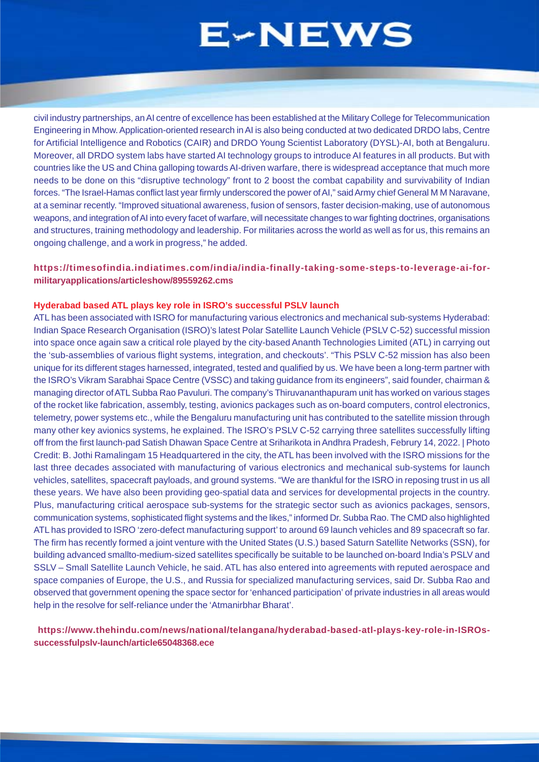civil industry partnerships, an AI centre of excellence has been established at the Military College for Telecommunication Engineering in Mhow. Application-oriented research in AI is also being conducted at two dedicated DRDO labs, Centre for Artificial Intelligence and Robotics (CAIR) and DRDO Young Scientist Laboratory (DYSL)-AI, both at Bengaluru. Moreover, all DRDO system labs have started AI technology groups to introduce AI features in all products. But with countries like the US and China galloping towards AI-driven warfare, there is widespread acceptance that much more needs to be done on this "disruptive technology" front to 2 boost the combat capability and survivability of Indian forces. "The Israel-Hamas conflict last year firmly underscored the power of AI," said Army chief General M M Naravane, at a seminar recently. "Improved situational awareness, fusion of sensors, faster decision-making, use of autonomous weapons, and integration of AI into every facet of warfare, will necessitate changes to war fighting doctrines, organisations and structures, training methodology and leadership. For militaries across the world as well as for us, this remains an ongoing challenge, and a work in progress," he added.

# **https://timesofindia.indiatimes.com/india/india-finally-taking-some-steps-to-leverage-ai-formilitaryapplications/articleshow/89559262.cms**

# **Hyderabad based ATL plays key role in ISRO's successful PSLV launch**

ATL has been associated with ISRO for manufacturing various electronics and mechanical sub-systems Hyderabad: Indian Space Research Organisation (ISRO)'s latest Polar Satellite Launch Vehicle (PSLV C-52) successful mission into space once again saw a critical role played by the city-based Ananth Technologies Limited (ATL) in carrying out the 'sub-assemblies of various flight systems, integration, and checkouts'. "This PSLV C-52 mission has also been unique for its different stages harnessed, integrated, tested and qualified by us. We have been a long-term partner with the ISRO's Vikram Sarabhai Space Centre (VSSC) and taking guidance from its engineers", said founder, chairman & managing director of ATL Subba Rao Pavuluri. The company's Thiruvananthapuram unit has worked on various stages of the rocket like fabrication, assembly, testing, avionics packages such as on-board computers, control electronics, telemetry, power systems etc., while the Bengaluru manufacturing unit has contributed to the satellite mission through many other key avionics systems, he explained. The ISRO's PSLV C-52 carrying three satellites successfully lifting off from the first launch-pad Satish Dhawan Space Centre at Sriharikota in Andhra Pradesh, Februry 14, 2022. | Photo Credit: B. Jothi Ramalingam 15 Headquartered in the city, the ATL has been involved with the ISRO missions for the last three decades associated with manufacturing of various electronics and mechanical sub-systems for launch vehicles, satellites, spacecraft payloads, and ground systems. "We are thankful for the ISRO in reposing trust in us all these years. We have also been providing geo-spatial data and services for developmental projects in the country. Plus, manufacturing critical aerospace sub-systems for the strategic sector such as avionics packages, sensors, communication systems, sophisticated flight systems and the likes," informed Dr. Subba Rao. The CMD also highlighted ATL has provided to ISRO 'zero-defect manufacturing support' to around 69 launch vehicles and 89 spacecraft so far. The firm has recently formed a joint venture with the United States (U.S.) based Saturn Satellite Networks (SSN), for building advanced smallto-medium-sized satellites specifically be suitable to be launched on-board India's PSLV and SSLV – Small Satellite Launch Vehicle, he said. ATL has also entered into agreements with reputed aerospace and space companies of Europe, the U.S., and Russia for specialized manufacturing services, said Dr. Subba Rao and observed that government opening the space sector for 'enhanced participation' of private industries in all areas would help in the resolve for self-reliance under the 'Atmanirbhar Bharat'.

# **https://www.thehindu.com/news/national/telangana/hyderabad-based-atl-plays-key-role-in-ISROssuccessfulpslv-launch/article65048368.ece**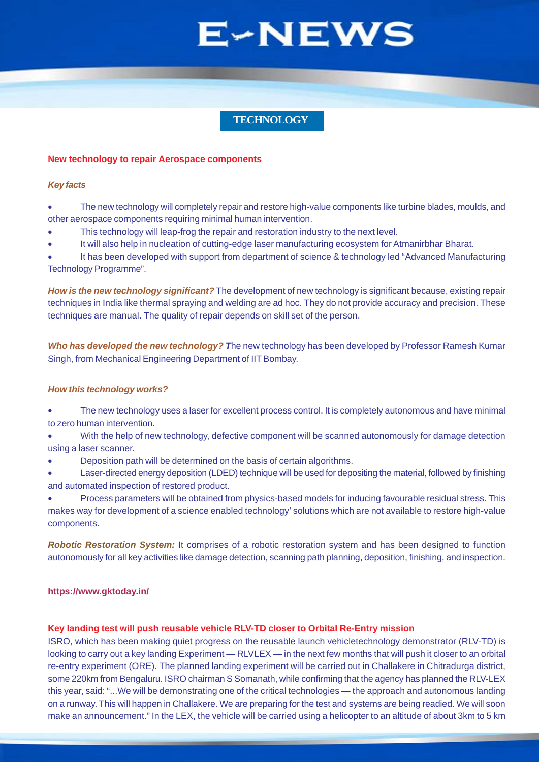# **TECHNOLOGY**

#### <span id="page-8-0"></span>**New technology to repair Aerospace components**

#### *Key facts*

- The new technology will completely repair and restore high-value components like turbine blades, moulds, and other aerospace components requiring minimal human intervention.
- This technology will leap-frog the repair and restoration industry to the next level.
- It will also help in nucleation of cutting-edge laser manufacturing ecosystem for Atmanirbhar Bharat.

It has been developed with support from department of science & technology led "Advanced Manufacturing" Technology Programme".

*How is the new technology significant?* The development of new technology is significant because, existing repair techniques in India like thermal spraying and welding are ad hoc. They do not provide accuracy and precision. These techniques are manual. The quality of repair depends on skill set of the person.

*Who has developed the new technology? T*he new technology has been developed by Professor Ramesh Kumar Singh, from Mechanical Engineering Department of IIT Bombay.

### *How this technology works?*

• The new technology uses a laser for excellent process control. It is completely autonomous and have minimal to zero human intervention.

• With the help of new technology, defective component will be scanned autonomously for damage detection using a laser scanner.

• Deposition path will be determined on the basis of certain algorithms.

• Laser-directed energy deposition (LDED) technique will be used for depositing the material, followed by finishing and automated inspection of restored product.

• Process parameters will be obtained from physics-based models for inducing favourable residual stress. This makes way for development of a science enabled technology' solutions which are not available to restore high-value components.

*Robotic Restoration System:* **I**t comprises of a robotic restoration system and has been designed to function autonomously for all key activities like damage detection, scanning path planning, deposition, finishing, and inspection.

### **https://www.gktoday.in/**

## **Key landing test will push reusable vehicle RLV-TD closer to Orbital Re-Entry mission**

ISRO, which has been making quiet progress on the reusable launch vehicletechnology demonstrator (RLV-TD) is looking to carry out a key landing Experiment — RLVLEX — in the next few months that will push it closer to an orbital re-entry experiment (ORE). The planned landing experiment will be carried out in Challakere in Chitradurga district, some 220km from Bengaluru. ISRO chairman S Somanath, while confirming that the agency has planned the RLV-LEX this year, said: "...We will be demonstrating one of the critical technologies — the approach and autonomous landing on a runway. This will happen in Challakere. We are preparing for the test and systems are being readied. We will soon make an announcement." In the LEX, the vehicle will be carried using a helicopter to an altitude of about 3km to 5 km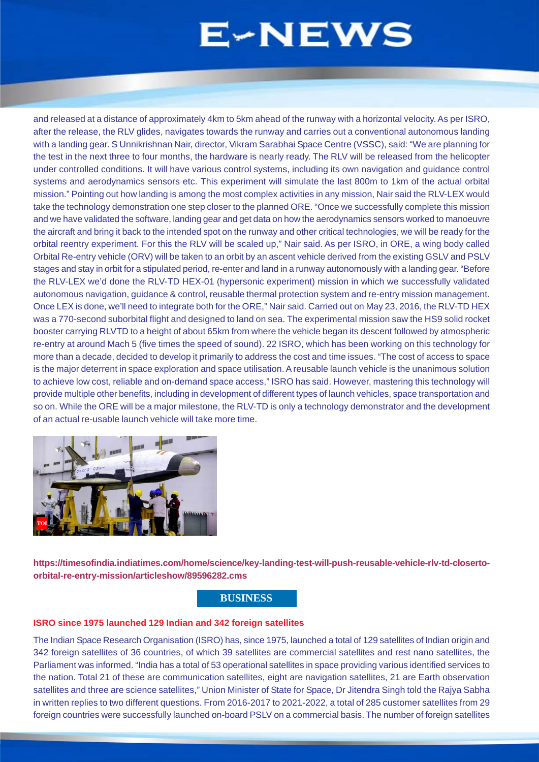and released at a distance of approximately 4km to 5km ahead of the runway with a horizontal velocity. As per ISRO, after the release, the RLV glides, navigates towards the runway and carries out a conventional autonomous landing with a landing gear. S Unnikrishnan Nair, director, Vikram Sarabhai Space Centre (VSSC), said: "We are planning for the test in the next three to four months, the hardware is nearly ready. The RLV will be released from the helicopter under controlled conditions. It will have various control systems, including its own navigation and guidance control systems and aerodynamics sensors etc. This experiment will simulate the last 800m to 1km of the actual orbital mission." Pointing out how landing is among the most complex activities in any mission, Nair said the RLV-LEX would take the technology demonstration one step closer to the planned ORE. "Once we successfully complete this mission and we have validated the software, landing gear and get data on how the aerodynamics sensors worked to manoeuvre the aircraft and bring it back to the intended spot on the runway and other critical technologies, we will be ready for the orbital reentry experiment. For this the RLV will be scaled up," Nair said. As per ISRO, in ORE, a wing body called Orbital Re-entry vehicle (ORV) will be taken to an orbit by an ascent vehicle derived from the existing GSLV and PSLV stages and stay in orbit for a stipulated period, re-enter and land in a runway autonomously with a landing gear. "Before the RLV-LEX we'd done the RLV-TD HEX-01 (hypersonic experiment) mission in which we successfully validated autonomous navigation, guidance & control, reusable thermal protection system and re-entry mission management. Once LEX is done, we'll need to integrate both for the ORE," Nair said. Carried out on May 23, 2016, the RLV-TD HEX was a 770-second suborbital flight and designed to land on sea. The experimental mission saw the HS9 solid rocket booster carrying RLVTD to a height of about 65km from where the vehicle began its descent followed by atmospheric re-entry at around Mach 5 (five times the speed of sound). 22 ISRO, which has been working on this technology for more than a decade, decided to develop it primarily to address the cost and time issues. "The cost of access to space is the major deterrent in space exploration and space utilisation. A reusable launch vehicle is the unanimous solution to achieve low cost, reliable and on-demand space access," ISRO has said. However, mastering this technology will provide multiple other benefits, including in development of different types of launch vehicles, space transportation and so on. While the ORE will be a major milestone, the RLV-TD is only a technology demonstrator and the development of an actual re-usable launch vehicle will take more time.



**https://timesofindia.indiatimes.com/home/science/key-landing-test-will-push-reusable-vehicle-rlv-td-closertoorbital-re-entry-mission/articleshow/89596282.cms**

# **BUSINESS**

### **ISRO since 1975 launched 129 Indian and 342 foreign satellites**

The Indian Space Research Organisation (ISRO) has, since 1975, launched a total of 129 satellites of Indian origin and 342 foreign satellites of 36 countries, of which 39 satellites are commercial satellites and rest nano satellites, the Parliament was informed. "India has a total of 53 operational satellites in space providing various identified services to the nation. Total 21 of these are communication satellites, eight are navigation satellites, 21 are Earth observation satellites and three are science satellites," Union Minister of State for Space, Dr Jitendra Singh told the Rajya Sabha in written replies to two different questions. From 2016-2017 to 2021-2022, a total of 285 customer satellites from 29 foreign countries were successfully launched on-board PSLV on a commercial basis. The number of foreign satellites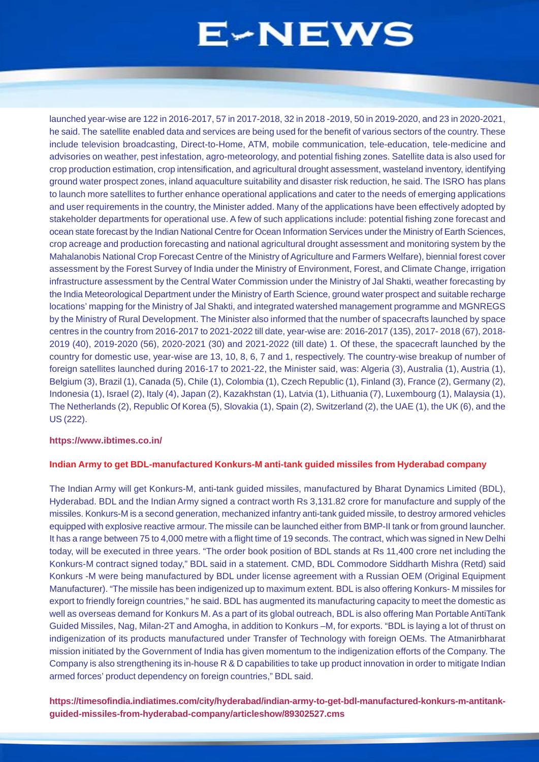<span id="page-10-0"></span>launched year-wise are 122 in 2016-2017, 57 in 2017-2018, 32 in 2018 -2019, 50 in 2019-2020, and 23 in 2020-2021, he said. The satellite enabled data and services are being used for the benefit of various sectors of the country. These include television broadcasting, Direct-to-Home, ATM, mobile communication, tele-education, tele-medicine and advisories on weather, pest infestation, agro-meteorology, and potential fishing zones. Satellite data is also used for crop production estimation, crop intensification, and agricultural drought assessment, wasteland inventory, identifying ground water prospect zones, inland aquaculture suitability and disaster risk reduction, he said. The ISRO has plans to launch more satellites to further enhance operational applications and cater to the needs of emerging applications and user requirements in the country, the Minister added. Many of the applications have been effectively adopted by stakeholder departments for operational use. A few of such applications include: potential fishing zone forecast and ocean state forecast by the Indian National Centre for Ocean Information Services under the Ministry of Earth Sciences, crop acreage and production forecasting and national agricultural drought assessment and monitoring system by the Mahalanobis National Crop Forecast Centre of the Ministry of Agriculture and Farmers Welfare), biennial forest cover assessment by the Forest Survey of India under the Ministry of Environment, Forest, and Climate Change, irrigation infrastructure assessment by the Central Water Commission under the Ministry of Jal Shakti, weather forecasting by the India Meteorological Department under the Ministry of Earth Science, ground water prospect and suitable recharge locations' mapping for the Ministry of Jal Shakti, and integrated watershed management programme and MGNREGS by the Ministry of Rural Development. The Minister also informed that the number of spacecrafts launched by space centres in the country from 2016-2017 to 2021-2022 till date, year-wise are: 2016-2017 (135), 2017- 2018 (67), 2018- 2019 (40), 2019-2020 (56), 2020-2021 (30) and 2021-2022 (till date) 1. Of these, the spacecraft launched by the country for domestic use, year-wise are 13, 10, 8, 6, 7 and 1, respectively. The country-wise breakup of number of foreign satellites launched during 2016-17 to 2021-22, the Minister said, was: Algeria (3), Australia (1), Austria (1), Belgium (3), Brazil (1), Canada (5), Chile (1), Colombia (1), Czech Republic (1), Finland (3), France (2), Germany (2), Indonesia (1), Israel (2), Italy (4), Japan (2), Kazakhstan (1), Latvia (1), Lithuania (7), Luxembourg (1), Malaysia (1), The Netherlands (2), Republic Of Korea (5), Slovakia (1), Spain (2), Switzerland (2), the UAE (1), the UK (6), and the US (222).

### **https://www.ibtimes.co.in/**

### **Indian Army to get BDL-manufactured Konkurs-M anti-tank guided missiles from Hyderabad company**

The Indian Army will get Konkurs-M, anti-tank guided missiles, manufactured by Bharat Dynamics Limited (BDL), Hyderabad. BDL and the Indian Army signed a contract worth Rs 3,131.82 crore for manufacture and supply of the missiles. Konkurs-M is a second generation, mechanized infantry anti-tank guided missile, to destroy armored vehicles equipped with explosive reactive armour. The missile can be launched either from BMP-II tank or from ground launcher. It has a range between 75 to 4,000 metre with a flight time of 19 seconds. The contract, which was signed in New Delhi today, will be executed in three years. "The order book position of BDL stands at Rs 11,400 crore net including the Konkurs-M contract signed today," BDL said in a statement. CMD, BDL Commodore Siddharth Mishra (Retd) said Konkurs -M were being manufactured by BDL under license agreement with a Russian OEM (Original Equipment Manufacturer). "The missile has been indigenized up to maximum extent. BDL is also offering Konkurs- M missiles for export to friendly foreign countries," he said. BDL has augmented its manufacturing capacity to meet the domestic as well as overseas demand for Konkurs M. As a part of its global outreach, BDL is also offering Man Portable AntiTank Guided Missiles, Nag, Milan-2T and Amogha, in addition to Konkurs –M, for exports. "BDL is laying a lot of thrust on indigenization of its products manufactured under Transfer of Technology with foreign OEMs. The Atmanirbharat mission initiated by the Government of India has given momentum to the indigenization efforts of the Company. The Company is also strengthening its in-house R & D capabilities to take up product innovation in order to mitigate Indian armed forces' product dependency on foreign countries," BDL said.

**https://timesofindia.indiatimes.com/city/hyderabad/indian-army-to-get-bdl-manufactured-konkurs-m-antitankguided-missiles-from-hyderabad-company/articleshow/89302527.cms**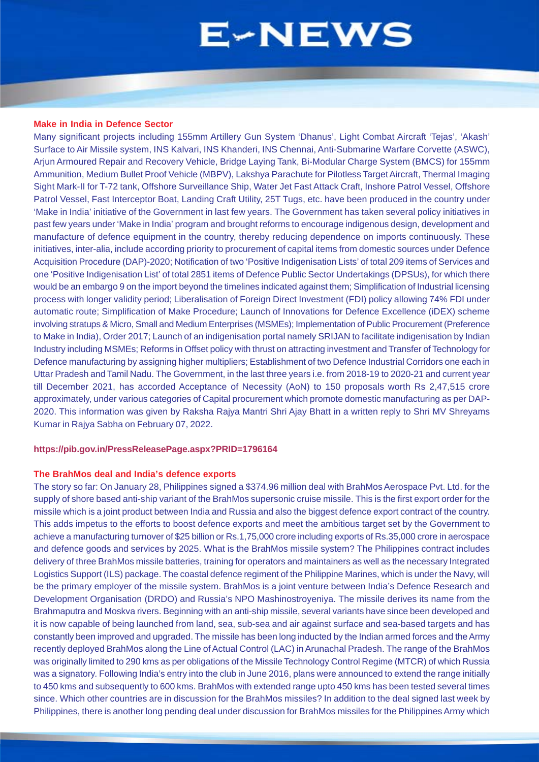#### **Make in India in Defence Sector**

Many significant projects including 155mm Artillery Gun System 'Dhanus', Light Combat Aircraft 'Tejas', 'Akash' Surface to Air Missile system, INS Kalvari, INS Khanderi, INS Chennai, Anti-Submarine Warfare Corvette (ASWC), Arjun Armoured Repair and Recovery Vehicle, Bridge Laying Tank, Bi-Modular Charge System (BMCS) for 155mm Ammunition, Medium Bullet Proof Vehicle (MBPV), Lakshya Parachute for Pilotless Target Aircraft, Thermal Imaging Sight Mark-II for T-72 tank, Offshore Surveillance Ship, Water Jet Fast Attack Craft, Inshore Patrol Vessel, Offshore Patrol Vessel, Fast Interceptor Boat, Landing Craft Utility, 25T Tugs, etc. have been produced in the country under 'Make in India' initiative of the Government in last few years. The Government has taken several policy initiatives in past few years under 'Make in India' program and brought reforms to encourage indigenous design, development and manufacture of defence equipment in the country, thereby reducing dependence on imports continuously. These initiatives, inter-alia, include according priority to procurement of capital items from domestic sources under Defence Acquisition Procedure (DAP)-2020; Notification of two 'Positive Indigenisation Lists' of total 209 items of Services and one 'Positive Indigenisation List' of total 2851 items of Defence Public Sector Undertakings (DPSUs), for which there would be an embargo 9 on the import beyond the timelines indicated against them; Simplification of Industrial licensing process with longer validity period; Liberalisation of Foreign Direct Investment (FDI) policy allowing 74% FDI under automatic route; Simplification of Make Procedure; Launch of Innovations for Defence Excellence (iDEX) scheme involving stratups & Micro, Small and Medium Enterprises (MSMEs); Implementation of Public Procurement (Preference to Make in India), Order 2017; Launch of an indigenisation portal namely SRIJAN to facilitate indigenisation by Indian Industry including MSMEs; Reforms in Offset policy with thrust on attracting investment and Transfer of Technology for Defence manufacturing by assigning higher multipliers; Establishment of two Defence Industrial Corridors one each in Uttar Pradesh and Tamil Nadu. The Government, in the last three years i.e. from 2018-19 to 2020-21 and current year till December 2021, has accorded Acceptance of Necessity (AoN) to 150 proposals worth Rs 2,47,515 crore approximately, under various categories of Capital procurement which promote domestic manufacturing as per DAP-2020. This information was given by Raksha Rajya Mantri Shri Ajay Bhatt in a written reply to Shri MV Shreyams Kumar in Rajya Sabha on February 07, 2022.

### **https://pib.gov.in/PressReleasePage.aspx?PRID=1796164**

#### **The BrahMos deal and India's defence exports**

The story so far: On January 28, Philippines signed a \$374.96 million deal with BrahMos Aerospace Pvt. Ltd. for the supply of shore based anti-ship variant of the BrahMos supersonic cruise missile. This is the first export order for the missile which is a joint product between India and Russia and also the biggest defence export contract of the country. This adds impetus to the efforts to boost defence exports and meet the ambitious target set by the Government to achieve a manufacturing turnover of \$25 billion or Rs.1,75,000 crore including exports of Rs.35,000 crore in aerospace and defence goods and services by 2025. What is the BrahMos missile system? The Philippines contract includes delivery of three BrahMos missile batteries, training for operators and maintainers as well as the necessary Integrated Logistics Support (ILS) package. The coastal defence regiment of the Philippine Marines, which is under the Navy, will be the primary employer of the missile system. BrahMos is a joint venture between India's Defence Research and Development Organisation (DRDO) and Russia's NPO Mashinostroyeniya. The missile derives its name from the Brahmaputra and Moskva rivers. Beginning with an anti-ship missile, several variants have since been developed and it is now capable of being launched from land, sea, sub-sea and air against surface and sea-based targets and has constantly been improved and upgraded. The missile has been long inducted by the Indian armed forces and the Army recently deployed BrahMos along the Line of Actual Control (LAC) in Arunachal Pradesh. The range of the BrahMos was originally limited to 290 kms as per obligations of the Missile Technology Control Regime (MTCR) of which Russia was a signatory. Following India's entry into the club in June 2016, plans were announced to extend the range initially to 450 kms and subsequently to 600 kms. BrahMos with extended range upto 450 kms has been tested several times since. Which other countries are in discussion for the BrahMos missiles? In addition to the deal signed last week by Philippines, there is another long pending deal under discussion for BrahMos missiles for the Philippines Army which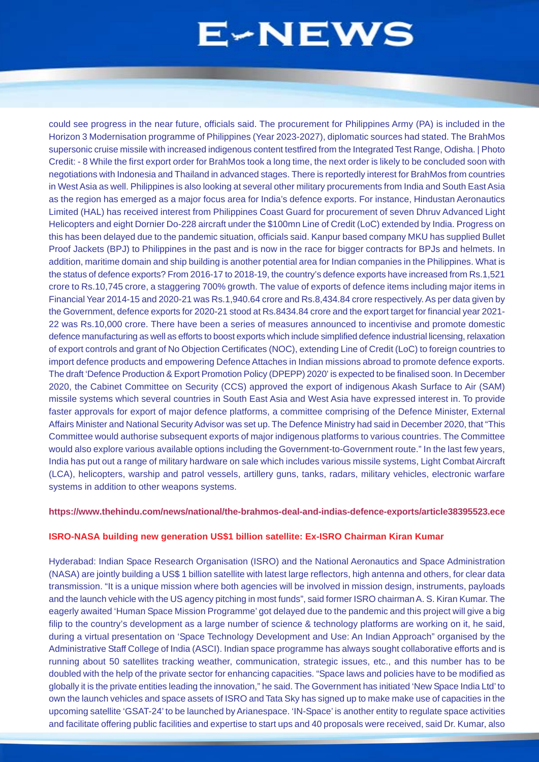could see progress in the near future, officials said. The procurement for Philippines Army (PA) is included in the Horizon 3 Modernisation programme of Philippines (Year 2023-2027), diplomatic sources had stated. The BrahMos supersonic cruise missile with increased indigenous content testfired from the Integrated Test Range, Odisha. | Photo Credit: - 8 While the first export order for BrahMos took a long time, the next order is likely to be concluded soon with negotiations with Indonesia and Thailand in advanced stages. There is reportedly interest for BrahMos from countries in West Asia as well. Philippines is also looking at several other military procurements from India and South East Asia as the region has emerged as a major focus area for India's defence exports. For instance, Hindustan Aeronautics Limited (HAL) has received interest from Philippines Coast Guard for procurement of seven Dhruv Advanced Light Helicopters and eight Dornier Do-228 aircraft under the \$100mn Line of Credit (LoC) extended by India. Progress on this has been delayed due to the pandemic situation, officials said. Kanpur based company MKU has supplied Bullet Proof Jackets (BPJ) to Philippines in the past and is now in the race for bigger contracts for BPJs and helmets. In addition, maritime domain and ship building is another potential area for Indian companies in the Philippines. What is the status of defence exports? From 2016-17 to 2018-19, the country's defence exports have increased from Rs.1,521 crore to Rs.10,745 crore, a staggering 700% growth. The value of exports of defence items including major items in Financial Year 2014-15 and 2020-21 was Rs.1,940.64 crore and Rs.8,434.84 crore respectively. As per data given by the Government, defence exports for 2020-21 stood at Rs.8434.84 crore and the export target for financial year 2021- 22 was Rs.10,000 crore. There have been a series of measures announced to incentivise and promote domestic defence manufacturing as well as efforts to boost exports which include simplified defence industrial licensing, relaxation of export controls and grant of No Objection Certificates (NOC), extending Line of Credit (LoC) to foreign countries to import defence products and empowering Defence Attaches in Indian missions abroad to promote defence exports. The draft 'Defence Production & Export Promotion Policy (DPEPP) 2020' is expected to be finalised soon. In December 2020, the Cabinet Committee on Security (CCS) approved the export of indigenous Akash Surface to Air (SAM) missile systems which several countries in South East Asia and West Asia have expressed interest in. To provide faster approvals for export of major defence platforms, a committee comprising of the Defence Minister, External Affairs Minister and National Security Advisor was set up. The Defence Ministry had said in December 2020, that "This Committee would authorise subsequent exports of major indigenous platforms to various countries. The Committee would also explore various available options including the Government-to-Government route." In the last few years, India has put out a range of military hardware on sale which includes various missile systems, Light Combat Aircraft (LCA), helicopters, warship and patrol vessels, artillery guns, tanks, radars, military vehicles, electronic warfare systems in addition to other weapons systems.

### **https://www.thehindu.com/news/national/the-brahmos-deal-and-indias-defence-exports/article38395523.ece**

### **ISRO-NASA building new generation US\$1 billion satellite: Ex-ISRO Chairman Kiran Kumar**

Hyderabad: Indian Space Research Organisation (ISRO) and the National Aeronautics and Space Administration (NASA) are jointly building a US\$ 1 billion satellite with latest large reflectors, high antenna and others, for clear data transmission. "It is a unique mission where both agencies will be involved in mission design, instruments, payloads and the launch vehicle with the US agency pitching in most funds", said former ISRO chairman A. S. Kiran Kumar. The eagerly awaited 'Human Space Mission Programme' got delayed due to the pandemic and this project will give a big filip to the country's development as a large number of science & technology platforms are working on it, he said, during a virtual presentation on 'Space Technology Development and Use: An Indian Approach" organised by the Administrative Staff College of India (ASCI). Indian space programme has always sought collaborative efforts and is running about 50 satellites tracking weather, communication, strategic issues, etc., and this number has to be doubled with the help of the private sector for enhancing capacities. "Space laws and policies have to be modified as globally it is the private entities leading the innovation," he said. The Government has initiated 'New Space India Ltd' to own the launch vehicles and space assets of ISRO and Tata Sky has signed up to make make use of capacities in the upcoming satellite 'GSAT-24' to be launched by Arianespace. 'IN-Space' is another entity to regulate space activities and facilitate offering public facilities and expertise to start ups and 40 proposals were received, said Dr. Kumar, also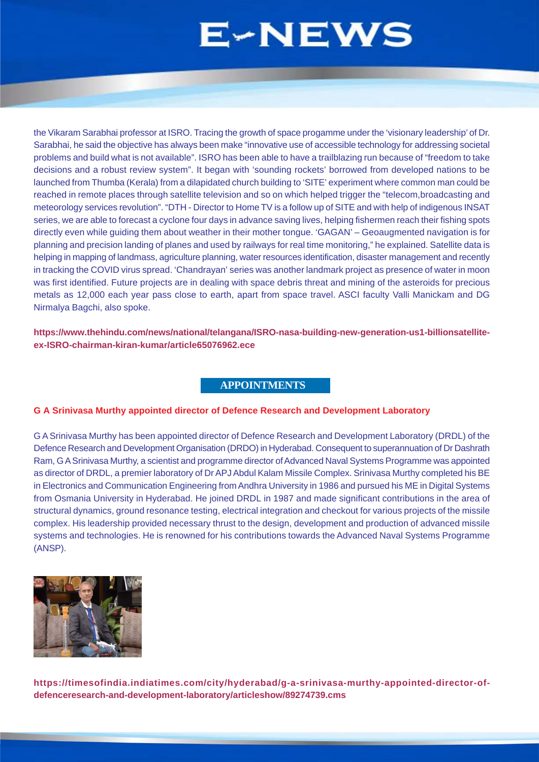<span id="page-13-0"></span>the Vikaram Sarabhai professor at ISRO. Tracing the growth of space progamme under the 'visionary leadership' of Dr. Sarabhai, he said the objective has always been make "innovative use of accessible technology for addressing societal problems and build what is not available". ISRO has been able to have a trailblazing run because of "freedom to take decisions and a robust review system". It began with 'sounding rockets' borrowed from developed nations to be launched from Thumba (Kerala) from a dilapidated church building to 'SITE' experiment where common man could be reached in remote places through satellite television and so on which helped trigger the "telecom,broadcasting and meteorology services revolution". "DTH - Director to Home TV is a follow up of SITE and with help of indigenous INSAT series, we are able to forecast a cyclone four days in advance saving lives, helping fishermen reach their fishing spots directly even while guiding them about weather in their mother tongue. 'GAGAN' – Geoaugmented navigation is for planning and precision landing of planes and used by railways for real time monitoring," he explained. Satellite data is helping in mapping of landmass, agriculture planning, water resources identification, disaster management and recently in tracking the COVID virus spread. 'Chandrayan' series was another landmark project as presence of water in moon was first identified. Future projects are in dealing with space debris threat and mining of the asteroids for precious metals as 12,000 each year pass close to earth, apart from space travel. ASCI faculty Valli Manickam and DG Nirmalya Bagchi, also spoke.

**https://www.thehindu.com/news/national/telangana/ISRO-nasa-building-new-generation-us1-billionsatelliteex-ISRO-chairman-kiran-kumar/article65076962.ece**

# **APPOINTMENTS**

### **G A Srinivasa Murthy appointed director of Defence Research and Development Laboratory**

G A Srinivasa Murthy has been appointed director of Defence Research and Development Laboratory (DRDL) of the Defence Research and Development Organisation (DRDO) in Hyderabad. Consequent to superannuation of Dr Dashrath Ram, G A Srinivasa Murthy, a scientist and programme director of Advanced Naval Systems Programme was appointed as director of DRDL, a premier laboratory of Dr APJ Abdul Kalam Missile Complex. Srinivasa Murthy completed his BE in Electronics and Communication Engineering from Andhra University in 1986 and pursued his ME in Digital Systems from Osmania University in Hyderabad. He joined DRDL in 1987 and made significant contributions in the area of structural dynamics, ground resonance testing, electrical integration and checkout for various projects of the missile complex. His leadership provided necessary thrust to the design, development and production of advanced missile systems and technologies. He is renowned for his contributions towards the Advanced Naval Systems Programme (ANSP).



**https://timesofindia.indiatimes.com/city/hyderabad/g-a-srinivasa-murthy-appointed-director-ofdefenceresearch-and-development-laboratory/articleshow/89274739.cms**